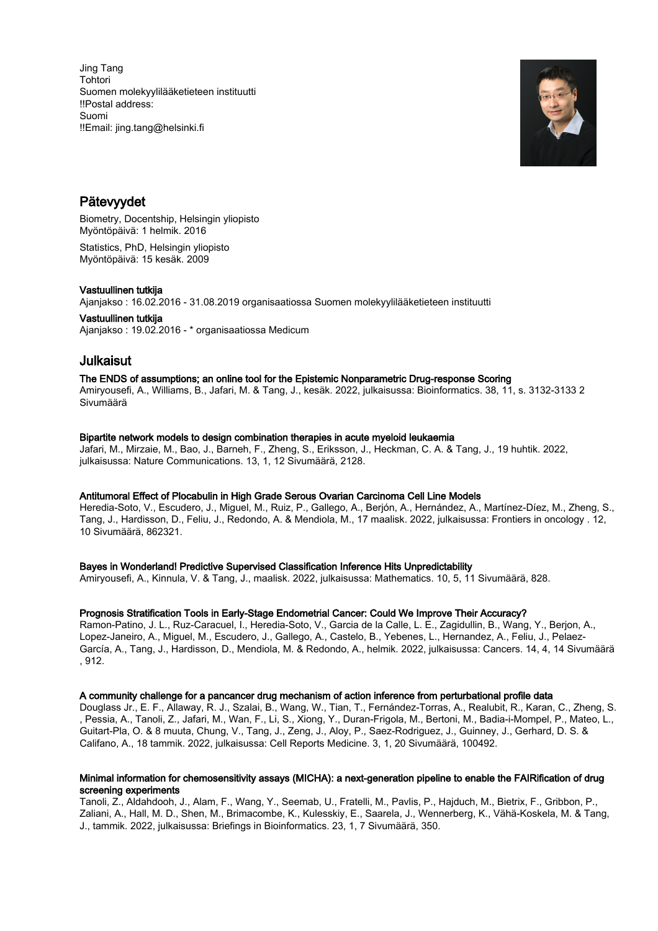Jing Tang Tohtori Suomen molekyylilääketieteen instituutti !!Postal address: Suomi !!Email: jing.tang@helsinki.fi



## Pätevyydet

Biometry, Docentship, Helsingin yliopisto Myöntöpäivä: 1 helmik. 2016 Statistics, PhD, Helsingin yliopisto Myöntöpäivä: 15 kesäk. 2009

## Vastuullinen tutkija

Ajanjakso : 16.02.2016 - 31.08.2019 organisaatiossa Suomen molekyylilääketieteen instituutti

Vastuullinen tutkija Ajanjakso : 19.02.2016 - \* organisaatiossa Medicum

# Julkaisut

## The ENDS of assumptions; an online tool for the Epistemic Nonparametric Drug-response Scoring

Amiryousefi, A., Williams, B., Jafari, M. & Tang, J., kesäk. 2022, julkaisussa: Bioinformatics. 38, 11, s. 3132-3133 2 Sivumäärä

## Bipartite network models to design combination therapies in acute myeloid leukaemia

Jafari, M., Mirzaie, M., Bao, J., Barneh, F., Zheng, S., Eriksson, J., Heckman, C. A. & Tang, J., 19 huhtik. 2022, julkaisussa: Nature Communications. 13, 1, 12 Sivumäärä, 2128.

## Antitumoral Effect of Plocabulin in High Grade Serous Ovarian Carcinoma Cell Line Models

Heredia-Soto, V., Escudero, J., Miguel, M., Ruiz, P., Gallego, A., Berjón, A., Hernández, A., Martínez-Díez, M., Zheng, S., Tang, J., Hardisson, D., Feliu, J., Redondo, A. & Mendiola, M., 17 maalisk. 2022, julkaisussa: Frontiers in oncology . 12, 10 Sivumäärä, 862321.

## Bayes in Wonderland! Predictive Supervised Classification Inference Hits Unpredictability

Amiryousefi, A., Kinnula, V. & Tang, J., maalisk. 2022, julkaisussa: Mathematics. 10, 5, 11 Sivumäärä, 828.

## Prognosis Stratification Tools in Early-Stage Endometrial Cancer: Could We Improve Their Accuracy?

Ramon-Patino, J. L., Ruz-Caracuel, I., Heredia-Soto, V., Garcia de la Calle, L. E., Zagidullin, B., Wang, Y., Berjon, A., Lopez-Janeiro, A., Miguel, M., Escudero, J., Gallego, A., Castelo, B., Yebenes, L., Hernandez, A., Feliu, J., Pelaez-García, A., Tang, J., Hardisson, D., Mendiola, M. & Redondo, A., helmik. 2022, julkaisussa: Cancers. 14, 4, 14 Sivumäärä , 912.

## A community challenge for a pancancer drug mechanism of action inference from perturbational profile data

Douglass Jr., E. F., Allaway, R. J., Szalai, B., Wang, W., Tian, T., Fernández-Torras, A., Realubit, R., Karan, C., Zheng, S. , Pessia, A., Tanoli, Z., Jafari, M., Wan, F., Li, S., Xiong, Y., Duran-Frigola, M., Bertoni, M., Badia-i-Mompel, P., Mateo, L., Guitart-Pla, O. & 8 muuta, Chung, V., Tang, J., Zeng, J., Aloy, P., Saez-Rodriguez, J., Guinney, J., Gerhard, D. S. & Califano, A., 18 tammik. 2022, julkaisussa: Cell Reports Medicine. 3, 1, 20 Sivumäärä, 100492.

## Minimal information for chemosensitivity assays (MICHA): a next-generation pipeline to enable the FAIRification of drug screening experiments

Tanoli, Z., Aldahdooh, J., Alam, F., Wang, Y., Seemab, U., Fratelli, M., Pavlis, P., Hajduch, M., Bietrix, F., Gribbon, P., Zaliani, A., Hall, M. D., Shen, M., Brimacombe, K., Kulesskiy, E., Saarela, J., Wennerberg, K., Vähä-Koskela, M. & Tang, J., tammik. 2022, julkaisussa: Briefings in Bioinformatics. 23, 1, 7 Sivumäärä, 350.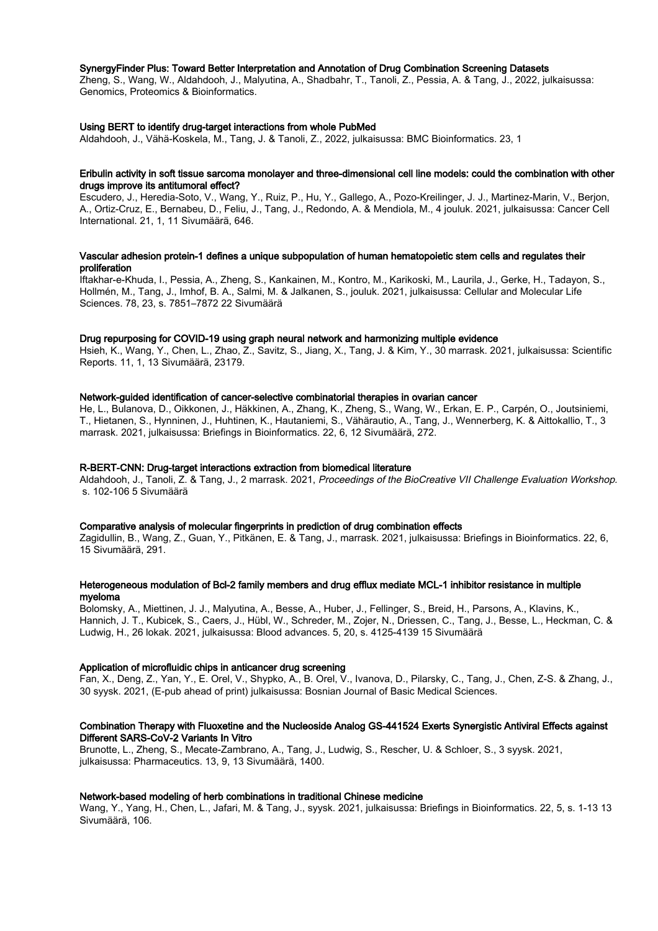#### SynergyFinder Plus: Toward Better Interpretation and Annotation of Drug Combination Screening Datasets

Zheng, S., Wang, W., Aldahdooh, J., Malyutina, A., Shadbahr, T., Tanoli, Z., Pessia, A. & Tang, J., 2022, julkaisussa: Genomics, Proteomics & Bioinformatics.

#### Using BERT to identify drug-target interactions from whole PubMed

Aldahdooh, J., Vähä-Koskela, M., Tang, J. & Tanoli, Z., 2022, julkaisussa: BMC Bioinformatics. 23, 1

#### Eribulin activity in soft tissue sarcoma monolayer and three-dimensional cell line models: could the combination with other drugs improve its antitumoral effect?

Escudero, J., Heredia-Soto, V., Wang, Y., Ruiz, P., Hu, Y., Gallego, A., Pozo-Kreilinger, J. J., Martinez-Marin, V., Berjon, A., Ortiz-Cruz, E., Bernabeu, D., Feliu, J., Tang, J., Redondo, A. & Mendiola, M., 4 jouluk. 2021, julkaisussa: Cancer Cell International. 21, 1, 11 Sivumäärä, 646.

## Vascular adhesion protein-1 defines a unique subpopulation of human hematopoietic stem cells and regulates their proliferation

Iftakhar-e-Khuda, I., Pessia, A., Zheng, S., Kankainen, M., Kontro, M., Karikoski, M., Laurila, J., Gerke, H., Tadayon, S., Hollmén, M., Tang, J., Imhof, B. A., Salmi, M. & Jalkanen, S., jouluk. 2021, julkaisussa: Cellular and Molecular Life Sciences. 78, 23, s. 7851–7872 22 Sivumäärä

#### Drug repurposing for COVID-19 using graph neural network and harmonizing multiple evidence

Hsieh, K., Wang, Y., Chen, L., Zhao, Z., Savitz, S., Jiang, X., Tang, J. & Kim, Y., 30 marrask. 2021, julkaisussa: Scientific Reports. 11, 1, 13 Sivumäärä, 23179.

#### Network-guided identification of cancer-selective combinatorial therapies in ovarian cancer

He, L., Bulanova, D., Oikkonen, J., Häkkinen, A., Zhang, K., Zheng, S., Wang, W., Erkan, E. P., Carpén, O., Joutsiniemi, T., Hietanen, S., Hynninen, J., Huhtinen, K., Hautaniemi, S., Vähärautio, A., Tang, J., Wennerberg, K. & Aittokallio, T., 3 marrask. 2021, julkaisussa: Briefings in Bioinformatics. 22, 6, 12 Sivumäärä, 272.

#### R-BERT-CNN: Drug-target interactions extraction from biomedical literature

Aldahdooh, J., Tanoli, Z. & Tang, J., 2 marrask. 2021, Proceedings of the BioCreative VII Challenge Evaluation Workshop. s. 102-106 5 Sivumäärä

#### Comparative analysis of molecular fingerprints in prediction of drug combination effects

Zagidullin, B., Wang, Z., Guan, Y., Pitkänen, E. & Tang, J., marrask. 2021, julkaisussa: Briefings in Bioinformatics. 22, 6, 15 Sivumäärä, 291.

#### Heterogeneous modulation of Bcl-2 family members and drug efflux mediate MCL-1 inhibitor resistance in multiple myeloma

Bolomsky, A., Miettinen, J. J., Malyutina, A., Besse, A., Huber, J., Fellinger, S., Breid, H., Parsons, A., Klavins, K., Hannich, J. T., Kubicek, S., Caers, J., Hübl, W., Schreder, M., Zojer, N., Driessen, C., Tang, J., Besse, L., Heckman, C. & Ludwig, H., 26 lokak. 2021, julkaisussa: Blood advances. 5, 20, s. 4125-4139 15 Sivumäärä

#### Application of microfluidic chips in anticancer drug screening

Fan, X., Deng, Z., Yan, Y., E. Orel, V., Shypko, A., B. Orel, V., Ivanova, D., Pilarsky, C., Tang, J., Chen, Z-S. & Zhang, J., 30 syysk. 2021, (E-pub ahead of print) julkaisussa: Bosnian Journal of Basic Medical Sciences.

#### Combination Therapy with Fluoxetine and the Nucleoside Analog GS-441524 Exerts Synergistic Antiviral Effects against Different SARS-CoV-2 Variants In Vitro

Brunotte, L., Zheng, S., Mecate-Zambrano, A., Tang, J., Ludwig, S., Rescher, U. & Schloer, S., 3 syysk. 2021, julkaisussa: Pharmaceutics. 13, 9, 13 Sivumäärä, 1400.

#### Network-based modeling of herb combinations in traditional Chinese medicine

Wang, Y., Yang, H., Chen, L., Jafari, M. & Tang, J., syysk. 2021, julkaisussa: Briefings in Bioinformatics. 22, 5, s. 1-13 13 Sivumäärä, 106.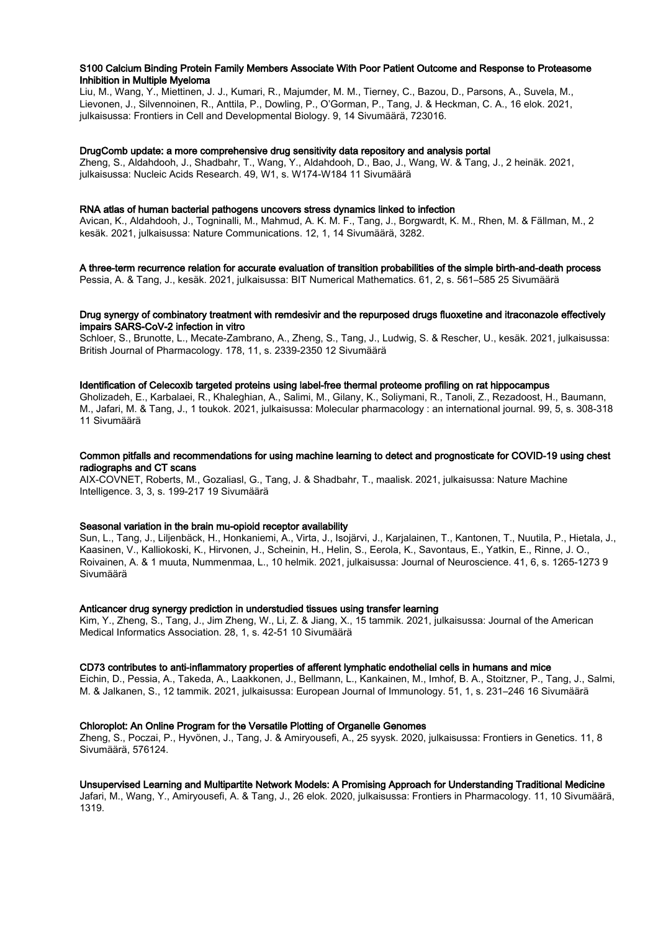#### S100 Calcium Binding Protein Family Members Associate With Poor Patient Outcome and Response to Proteasome Inhibition in Multiple Myeloma

Liu, M., Wang, Y., Miettinen, J. J., Kumari, R., Majumder, M. M., Tierney, C., Bazou, D., Parsons, A., Suvela, M., Lievonen, J., Silvennoinen, R., Anttila, P., Dowling, P., O'Gorman, P., Tang, J. & Heckman, C. A., 16 elok. 2021, julkaisussa: Frontiers in Cell and Developmental Biology. 9, 14 Sivumäärä, 723016.

#### DrugComb update: a more comprehensive drug sensitivity data repository and analysis portal

Zheng, S., Aldahdooh, J., Shadbahr, T., Wang, Y., Aldahdooh, D., Bao, J., Wang, W. & Tang, J., 2 heinäk. 2021, julkaisussa: Nucleic Acids Research. 49, W1, s. W174-W184 11 Sivumäärä

#### RNA atlas of human bacterial pathogens uncovers stress dynamics linked to infection

Avican, K., Aldahdooh, J., Togninalli, M., Mahmud, A. K. M. F., Tang, J., Borgwardt, K. M., Rhen, M. & Fällman, M., 2 kesäk. 2021, julkaisussa: Nature Communications. 12, 1, 14 Sivumäärä, 3282.

## A three-term recurrence relation for accurate evaluation of transition probabilities of the simple birth-and-death process

Pessia, A. & Tang, J., kesäk. 2021, julkaisussa: BIT Numerical Mathematics. 61, 2, s. 561–585 25 Sivumäärä

## Drug synergy of combinatory treatment with remdesivir and the repurposed drugs fluoxetine and itraconazole effectively impairs SARS-CoV-2 infection in vitro

Schloer, S., Brunotte, L., Mecate-Zambrano, A., Zheng, S., Tang, J., Ludwig, S. & Rescher, U., kesäk. 2021, julkaisussa: British Journal of Pharmacology. 178, 11, s. 2339-2350 12 Sivumäärä

#### Identification of Celecoxib targeted proteins using label-free thermal proteome profiling on rat hippocampus

Gholizadeh, E., Karbalaei, R., Khaleghian, A., Salimi, M., Gilany, K., Soliymani, R., Tanoli, Z., Rezadoost, H., Baumann, M., Jafari, M. & Tang, J., 1 toukok. 2021, julkaisussa: Molecular pharmacology : an international journal. 99, 5, s. 308-318 11 Sivumäärä

#### Common pitfalls and recommendations for using machine learning to detect and prognosticate for COVID-19 using chest radiographs and CT scans

AIX-COVNET, Roberts, M., Gozaliasl, G., Tang, J. & Shadbahr, T., maalisk. 2021, julkaisussa: Nature Machine Intelligence. 3, 3, s. 199-217 19 Sivumäärä

#### Seasonal variation in the brain mu-opioid receptor availability

Sun, L., Tang, J., Liljenbäck, H., Honkaniemi, A., Virta, J., Isojärvi, J., Karjalainen, T., Kantonen, T., Nuutila, P., Hietala, J., Kaasinen, V., Kalliokoski, K., Hirvonen, J., Scheinin, H., Helin, S., Eerola, K., Savontaus, E., Yatkin, E., Rinne, J. O., Roivainen, A. & 1 muuta, Nummenmaa, L., 10 helmik. 2021, julkaisussa: Journal of Neuroscience. 41, 6, s. 1265-1273 9 Sivumäärä

## Anticancer drug synergy prediction in understudied tissues using transfer learning

Kim, Y., Zheng, S., Tang, J., Jim Zheng, W., Li, Z. & Jiang, X., 15 tammik. 2021, julkaisussa: Journal of the American Medical Informatics Association. 28, 1, s. 42-51 10 Sivumäärä

## CD73 contributes to anti‐inflammatory properties of afferent lymphatic endothelial cells in humans and mice

Eichin, D., Pessia, A., Takeda, A., Laakkonen, J., Bellmann, L., Kankainen, M., Imhof, B. A., Stoitzner, P., Tang, J., Salmi, M. & Jalkanen, S., 12 tammik. 2021, julkaisussa: European Journal of Immunology. 51, 1, s. 231–246 16 Sivumäärä

## Chloroplot: An Online Program for the Versatile Plotting of Organelle Genomes

Zheng, S., Poczai, P., Hyvönen, J., Tang, J. & Amiryousefi, A., 25 syysk. 2020, julkaisussa: Frontiers in Genetics. 11, 8 Sivumäärä, 576124.

## Unsupervised Learning and Multipartite Network Models: A Promising Approach for Understanding Traditional Medicine

Jafari, M., Wang, Y., Amiryousefi, A. & Tang, J., 26 elok. 2020, julkaisussa: Frontiers in Pharmacology. 11, 10 Sivumäärä, 1319.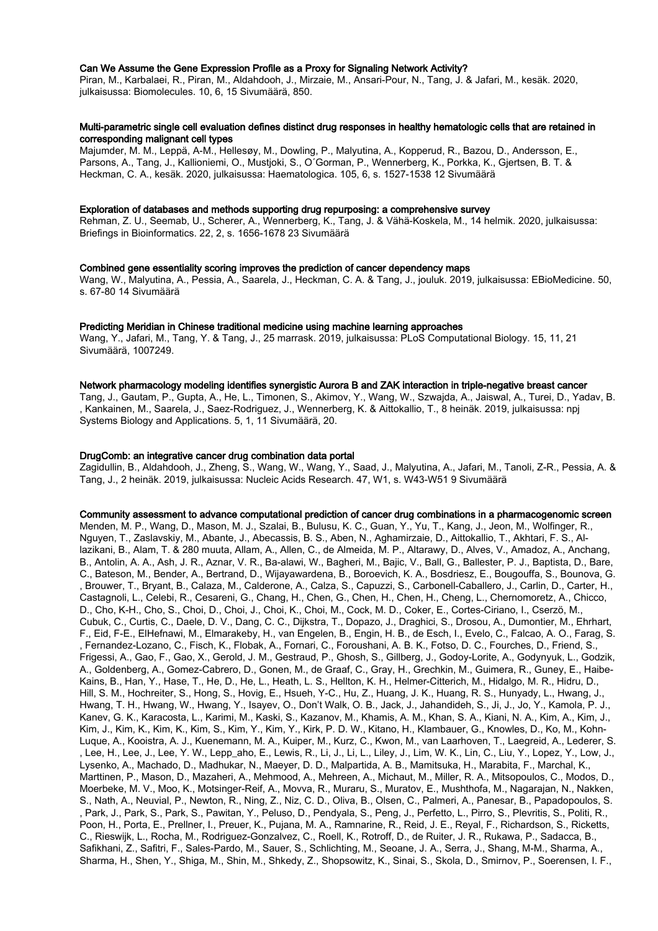#### Can We Assume the Gene Expression Profile as a Proxy for Signaling Network Activity?

Piran, M., Karbalaei, R., Piran, M., Aldahdooh, J., Mirzaie, M., Ansari-Pour, N., Tang, J. & Jafari, M., kesäk. 2020, julkaisussa: Biomolecules. 10, 6, 15 Sivumäärä, 850.

## Multi-parametric single cell evaluation defines distinct drug responses in healthy hematologic cells that are retained in corresponding malignant cell types

Majumder, M. M., Leppä, A-M., Hellesøy, M., Dowling, P., Malyutina, A., Kopperud, R., Bazou, D., Andersson, E., Parsons, A., Tang, J., Kallioniemi, O., Mustjoki, S., O´Gorman, P., Wennerberg, K., Porkka, K., Gjertsen, B. T. & Heckman, C. A., kesäk. 2020, julkaisussa: Haematologica. 105, 6, s. 1527-1538 12 Sivumäärä

#### Exploration of databases and methods supporting drug repurposing: a comprehensive survey

Rehman, Z. U., Seemab, U., Scherer, A., Wennerberg, K., Tang, J. & Vähä-Koskela, M., 14 helmik. 2020, julkaisussa: Briefings in Bioinformatics. 22, 2, s. 1656-1678 23 Sivumäärä

#### Combined gene essentiality scoring improves the prediction of cancer dependency maps

Wang, W., Malyutina, A., Pessia, A., Saarela, J., Heckman, C. A. & Tang, J., jouluk. 2019, julkaisussa: EBioMedicine. 50, s. 67-80 14 Sivumäärä

#### Predicting Meridian in Chinese traditional medicine using machine learning approaches

Wang, Y., Jafari, M., Tang, Y. & Tang, J., 25 marrask. 2019, julkaisussa: PLoS Computational Biology. 15, 11, 21 Sivumäärä, 1007249.

#### Network pharmacology modeling identifies synergistic Aurora B and ZAK interaction in triple-negative breast cancer

Tang, J., Gautam, P., Gupta, A., He, L., Timonen, S., Akimov, Y., Wang, W., Szwajda, A., Jaiswal, A., Turei, D., Yadav, B. , Kankainen, M., Saarela, J., Saez-Rodriguez, J., Wennerberg, K. & Aittokallio, T., 8 heinäk. 2019, julkaisussa: npj Systems Biology and Applications. 5, 1, 11 Sivumäärä, 20.

#### DrugComb: an integrative cancer drug combination data portal

Zagidullin, B., Aldahdooh, J., Zheng, S., Wang, W., Wang, Y., Saad, J., Malyutina, A., Jafari, M., Tanoli, Z-R., Pessia, A. & Tang, J., 2 heinäk. 2019, julkaisussa: Nucleic Acids Research. 47, W1, s. W43-W51 9 Sivumäärä

#### Community assessment to advance computational prediction of cancer drug combinations in a pharmacogenomic screen

Menden, M. P., Wang, D., Mason, M. J., Szalai, B., Bulusu, K. C., Guan, Y., Yu, T., Kang, J., Jeon, M., Wolfinger, R., Nguyen, T., Zaslavskiy, M., Abante, J., Abecassis, B. S., Aben, N., Aghamirzaie, D., Aittokallio, T., Akhtari, F. S., Allazikani, B., Alam, T. & 280 muuta, Allam, A., Allen, C., de Almeida, M. P., Altarawy, D., Alves, V., Amadoz, A., Anchang, B., Antolin, A. A., Ash, J. R., Aznar, V. R., Ba-alawi, W., Bagheri, M., Bajic, V., Ball, G., Ballester, P. J., Baptista, D., Bare, C., Bateson, M., Bender, A., Bertrand, D., Wijayawardena, B., Boroevich, K. A., Bosdriesz, E., Bougouffa, S., Bounova, G. , Brouwer, T., Bryant, B., Calaza, M., Calderone, A., Calza, S., Capuzzi, S., Carbonell-Caballero, J., Carlin, D., Carter, H., Castagnoli, L., Celebi, R., Cesareni, G., Chang, H., Chen, G., Chen, H., Chen, H., Cheng, L., Chernomoretz, A., Chicco, D., Cho, K-H., Cho, S., Choi, D., Choi, J., Choi, K., Choi, M., Cock, M. D., Coker, E., Cortes-Ciriano, I., Cserzö, M., Cubuk, C., Curtis, C., Daele, D. V., Dang, C. C., Dijkstra, T., Dopazo, J., Draghici, S., Drosou, A., Dumontier, M., Ehrhart, F., Eid, F-E., ElHefnawi, M., Elmarakeby, H., van Engelen, B., Engin, H. B., de Esch, I., Evelo, C., Falcao, A. O., Farag, S. , Fernandez-Lozano, C., Fisch, K., Flobak, A., Fornari, C., Foroushani, A. B. K., Fotso, D. C., Fourches, D., Friend, S., Frigessi, A., Gao, F., Gao, X., Gerold, J. M., Gestraud, P., Ghosh, S., Gillberg, J., Godoy-Lorite, A., Godynyuk, L., Godzik, A., Goldenberg, A., Gomez-Cabrero, D., Gonen, M., de Graaf, C., Gray, H., Grechkin, M., Guimera, R., Guney, E., Haibe-Kains, B., Han, Y., Hase, T., He, D., He, L., Heath, L. S., Hellton, K. H., Helmer-Citterich, M., Hidalgo, M. R., Hidru, D., Hill, S. M., Hochreiter, S., Hong, S., Hovig, E., Hsueh, Y-C., Hu, Z., Huang, J. K., Huang, R. S., Hunyady, L., Hwang, J., Hwang, T. H., Hwang, W., Hwang, Y., Isayev, O., Don't Walk, O. B., Jack, J., Jahandideh, S., Ji, J., Jo, Y., Kamola, P. J., Kanev, G. K., Karacosta, L., Karimi, M., Kaski, S., Kazanov, M., Khamis, A. M., Khan, S. A., Kiani, N. A., Kim, A., Kim, J., Kim, J., Kim, K., Kim, K., Kim, S., Kim, Y., Kim, Y., Kirk, P. D. W., Kitano, H., Klambauer, G., Knowles, D., Ko, M., Kohn-Luque, A., Kooistra, A. J., Kuenemann, M. A., Kuiper, M., Kurz, C., Kwon, M., van Laarhoven, T., Laegreid, A., Lederer, S. , Lee, H., Lee, J., Lee, Y. W., Lepp\_aho, E., Lewis, R., Li, J., Li, L., Liley, J., Lim, W. K., Lin, C., Liu, Y., Lopez, Y., Low, J., Lysenko, A., Machado, D., Madhukar, N., Maeyer, D. D., Malpartida, A. B., Mamitsuka, H., Marabita, F., Marchal, K., Marttinen, P., Mason, D., Mazaheri, A., Mehmood, A., Mehreen, A., Michaut, M., Miller, R. A., Mitsopoulos, C., Modos, D., Moerbeke, M. V., Moo, K., Motsinger-Reif, A., Movva, R., Muraru, S., Muratov, E., Mushthofa, M., Nagarajan, N., Nakken, S., Nath, A., Neuvial, P., Newton, R., Ning, Z., Niz, C. D., Oliva, B., Olsen, C., Palmeri, A., Panesar, B., Papadopoulos, S. , Park, J., Park, S., Park, S., Pawitan, Y., Peluso, D., Pendyala, S., Peng, J., Perfetto, L., Pirro, S., Plevritis, S., Politi, R., Poon, H., Porta, E., Prellner, I., Preuer, K., Pujana, M. A., Ramnarine, R., Reid, J. E., Reyal, F., Richardson, S., Ricketts, C., Rieswijk, L., Rocha, M., Rodriguez-Gonzalvez, C., Roell, K., Rotroff, D., de Ruiter, J. R., Rukawa, P., Sadacca, B., Safikhani, Z., Safitri, F., Sales-Pardo, M., Sauer, S., Schlichting, M., Seoane, J. A., Serra, J., Shang, M-M., Sharma, A., Sharma, H., Shen, Y., Shiga, M., Shin, M., Shkedy, Z., Shopsowitz, K., Sinai, S., Skola, D., Smirnov, P., Soerensen, I. F.,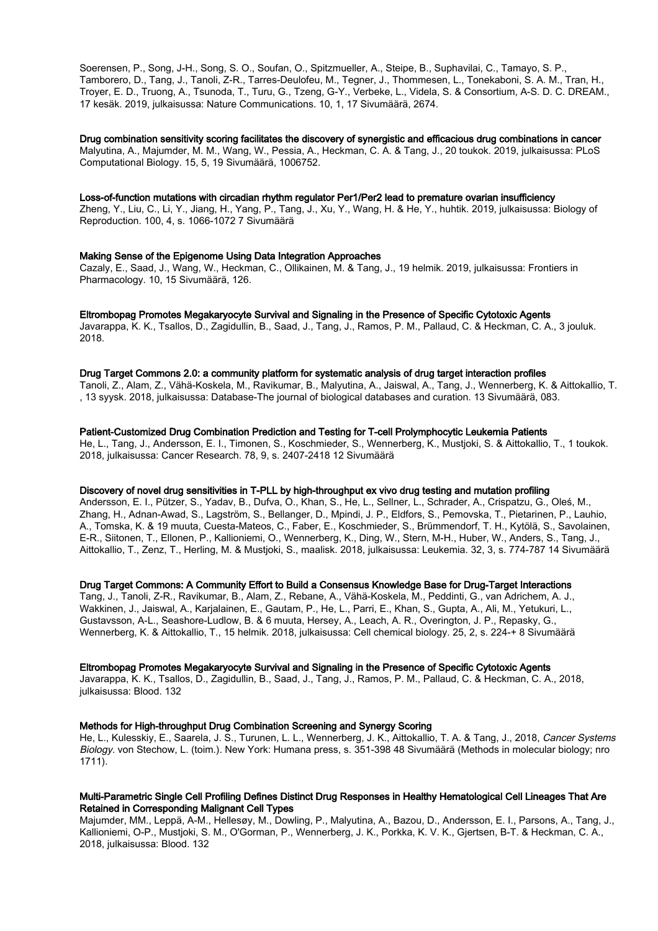Soerensen, P., Song, J-H., Song, S. O., Soufan, O., Spitzmueller, A., Steipe, B., Suphavilai, C., Tamayo, S. P., Tamborero, D., Tang, J., Tanoli, Z-R., Tarres-Deulofeu, M., Tegner, J., Thommesen, L., Tonekaboni, S. A. M., Tran, H., Troyer, E. D., Truong, A., Tsunoda, T., Turu, G., Tzeng, G-Y., Verbeke, L., Videla, S. & Consortium, A-S. D. C. DREAM., 17 kesäk. 2019, julkaisussa: Nature Communications. 10, 1, 17 Sivumäärä, 2674.

## Drug combination sensitivity scoring facilitates the discovery of synergistic and efficacious drug combinations in cancer

Malyutina, A., Majumder, M. M., Wang, W., Pessia, A., Heckman, C. A. & Tang, J., 20 toukok. 2019, julkaisussa: PLoS Computational Biology. 15, 5, 19 Sivumäärä, 1006752.

## Loss-of-function mutations with circadian rhythm regulator Per1/Per2 lead to premature ovarian insufficiency

Zheng, Y., Liu, C., Li, Y., Jiang, H., Yang, P., Tang, J., Xu, Y., Wang, H. & He, Y., huhtik. 2019, julkaisussa: Biology of Reproduction. 100, 4, s. 1066-1072 7 Sivumäärä

## Making Sense of the Epigenome Using Data Integration Approaches

Cazaly, E., Saad, J., Wang, W., Heckman, C., Ollikainen, M. & Tang, J., 19 helmik. 2019, julkaisussa: Frontiers in Pharmacology. 10, 15 Sivumäärä, 126.

## Eltrombopag Promotes Megakaryocyte Survival and Signaling in the Presence of Specific Cytotoxic Agents

Javarappa, K. K., Tsallos, D., Zagidullin, B., Saad, J., Tang, J., Ramos, P. M., Pallaud, C. & Heckman, C. A., 3 jouluk. 2018.

#### Drug Target Commons 2.0: a community platform for systematic analysis of drug target interaction profiles

Tanoli, Z., Alam, Z., Vähä-Koskela, M., Ravikumar, B., Malyutina, A., Jaiswal, A., Tang, J., Wennerberg, K. & Aittokallio, T. , 13 syysk. 2018, julkaisussa: Database-The journal of biological databases and curation. 13 Sivumäärä, 083.

## Patient-Customized Drug Combination Prediction and Testing for T-cell Prolymphocytic Leukemia Patients

He, L., Tang, J., Andersson, E. I., Timonen, S., Koschmieder, S., Wennerberg, K., Mustjoki, S. & Aittokallio, T., 1 toukok. 2018, julkaisussa: Cancer Research. 78, 9, s. 2407-2418 12 Sivumäärä

## Discovery of novel drug sensitivities in T-PLL by high-throughput ex vivo drug testing and mutation profiling

Andersson, E. I., Pützer, S., Yadav, B., Dufva, O., Khan, S., He, L., Sellner, L., Schrader, A., Crispatzu, G., Oleś, M., Zhang, H., Adnan-Awad, S., Lagström, S., Bellanger, D., Mpindi, J. P., Eldfors, S., Pemovska, T., Pietarinen, P., Lauhio, A., Tomska, K. & 19 muuta, Cuesta-Mateos, C., Faber, E., Koschmieder, S., Brümmendorf, T. H., Kytölä, S., Savolainen, E-R., Siitonen, T., Ellonen, P., Kallioniemi, O., Wennerberg, K., Ding, W., Stern, M-H., Huber, W., Anders, S., Tang, J., Aittokallio, T., Zenz, T., Herling, M. & Mustjoki, S., maalisk. 2018, julkaisussa: Leukemia. 32, 3, s. 774-787 14 Sivumäärä

## Drug Target Commons: A Community Effort to Build a Consensus Knowledge Base for Drug-Target Interactions

Tang, J., Tanoli, Z-R., Ravikumar, B., Alam, Z., Rebane, A., Vähä-Koskela, M., Peddinti, G., van Adrichem, A. J., Wakkinen, J., Jaiswal, A., Karjalainen, E., Gautam, P., He, L., Parri, E., Khan, S., Gupta, A., Ali, M., Yetukuri, L., Gustavsson, A-L., Seashore-Ludlow, B. & 6 muuta, Hersey, A., Leach, A. R., Overington, J. P., Repasky, G., Wennerberg, K. & Aittokallio, T., 15 helmik. 2018, julkaisussa: Cell chemical biology. 25, 2, s. 224-+ 8 Sivumäärä

## Eltrombopag Promotes Megakaryocyte Survival and Signaling in the Presence of Specific Cytotoxic Agents

Javarappa, K. K., Tsallos, D., Zagidullin, B., Saad, J., Tang, J., Ramos, P. M., Pallaud, C. & Heckman, C. A., 2018, julkaisussa: Blood. 132

## Methods for High-throughput Drug Combination Screening and Synergy Scoring

He, L., Kulesskiy, E., Saarela, J. S., Turunen, L. L., Wennerberg, J. K., Aittokallio, T. A. & Tang, J., 2018, Cancer Systems Biology. von Stechow, L. (toim.). New York: Humana press, s. 351-398 48 Sivumäärä (Methods in molecular biology; nro 1711).

## Multi-Parametric Single Cell Profiling Defines Distinct Drug Responses in Healthy Hematological Cell Lineages That Are Retained in Corresponding Malignant Cell Types

Majumder, MM., Leppä, A-M., Hellesøy, M., Dowling, P., Malyutina, A., Bazou, D., Andersson, E. I., Parsons, A., Tang, J., Kallioniemi, O-P., Mustjoki, S. M., O'Gorman, P., Wennerberg, J. K., Porkka, K. V. K., Gjertsen, B-T. & Heckman, C. A., 2018, julkaisussa: Blood. 132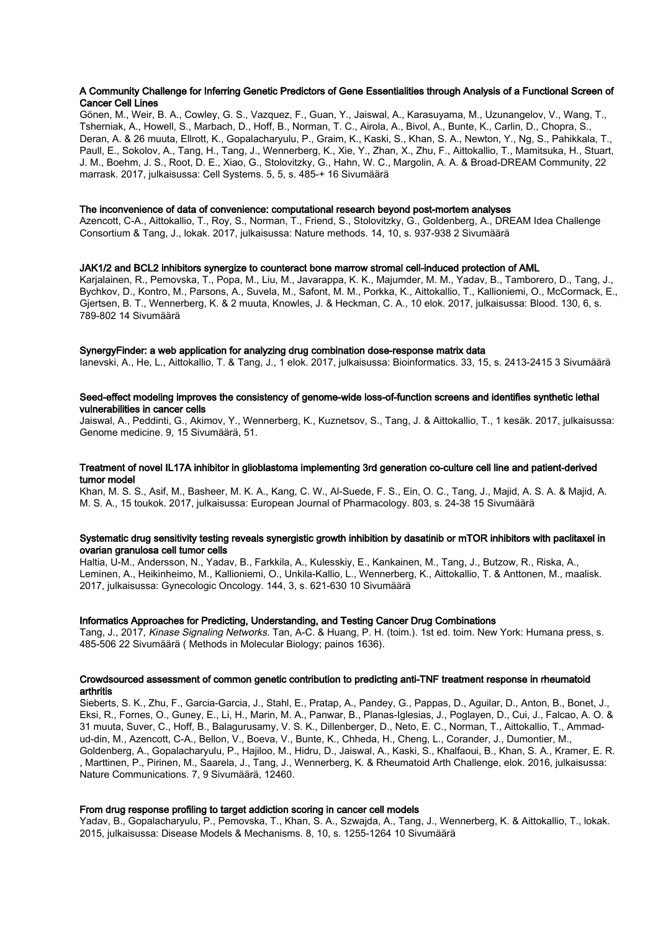#### A Community Challenge for Inferring Genetic Predictors of Gene Essentialities through Analysis of a Functional Screen of Cancer Cell Lines

Gönen, M., Weir, B. A., Cowley, G. S., Vazquez, F., Guan, Y., Jaiswal, A., Karasuyama, M., Uzunangelov, V., Wang, T., Tsherniak, A., Howell, S., Marbach, D., Hoff, B., Norman, T. C., Airola, A., Bivol, A., Bunte, K., Carlin, D., Chopra, S., Deran, A. & 26 muuta, Ellrott, K., Gopalacharyulu, P., Graim, K., Kaski, S., Khan, S. A., Newton, Y., Ng, S., Pahikkala, T., Paull, E., Sokolov, A., Tang, H., Tang, J., Wennerberg, K., Xie, Y., Zhan, X., Zhu, F., Aittokallio, T., Mamitsuka, H., Stuart, J. M., Boehm, J. S., Root, D. E., Xiao, G., Stolovitzky, G., Hahn, W. C., Margolin, A. A. & Broad-DREAM Community, 22 marrask. 2017, julkaisussa: Cell Systems. 5, 5, s. 485-+ 16 Sivumäärä

#### The inconvenience of data of convenience: computational research beyond post-mortem analyses

Azencott, C-A., Aittokallio, T., Roy, S., Norman, T., Friend, S., Stolovitzky, G., Goldenberg, A., DREAM Idea Challenge Consortium & Tang, J., lokak. 2017, julkaisussa: Nature methods. 14, 10, s. 937-938 2 Sivumäärä

#### JAK1/2 and BCL2 inhibitors synergize to counteract bone marrow stromal cell-induced protection of AML

Karjalainen, R., Pemovska, T., Popa, M., Liu, M., Javarappa, K. K., Majumder, M. M., Yadav, B., Tamborero, D., Tang, J., Bychkov, D., Kontro, M., Parsons, A., Suvela, M., Safont, M. M., Porkka, K., Aittokallio, T., Kallioniemi, O., McCormack, E., Gjertsen, B. T., Wennerberg, K. & 2 muuta, Knowles, J. & Heckman, C. A., 10 elok. 2017, julkaisussa: Blood. 130, 6, s. 789-802 14 Sivumäärä

#### SynergyFinder: a web application for analyzing drug combination dose-response matrix data

Ianevski, A., He, L., Aittokallio, T. & Tang, J., 1 elok. 2017, julkaisussa: Bioinformatics. 33, 15, s. 2413-2415 3 Sivumäärä

#### Seed-effect modeling improves the consistency of genome-wide loss-of-function screens and identifies synthetic lethal vulnerabilities in cancer cells

Jaiswal, A., Peddinti, G., Akimov, Y., Wennerberg, K., Kuznetsov, S., Tang, J. & Aittokallio, T., 1 kesäk. 2017, julkaisussa: Genome medicine. 9, 15 Sivumäärä, 51.

#### Treatment of novel IL17A inhibitor in glioblastoma implementing 3rd generation co-culture cell line and patient-derived tumor model

Khan, M. S. S., Asif, M., Basheer, M. K. A., Kang, C. W., Al-Suede, F. S., Ein, O. C., Tang, J., Majid, A. S. A. & Majid, A. M. S. A., 15 toukok. 2017, julkaisussa: European Journal of Pharmacology. 803, s. 24-38 15 Sivumäärä

## Systematic drug sensitivity testing reveals synergistic growth inhibition by dasatinib or mTOR inhibitors with paclitaxel in ovarian granulosa cell tumor cells

Haltia, U-M., Andersson, N., Yadav, B., Farkkila, A., Kulesskiy, E., Kankainen, M., Tang, J., Butzow, R., Riska, A., Leminen, A., Heikinheimo, M., Kallioniemi, O., Unkila-Kallio, L., Wennerberg, K., Aittokallio, T. & Anttonen, M., maalisk. 2017, julkaisussa: Gynecologic Oncology. 144, 3, s. 621-630 10 Sivumäärä

#### Informatics Approaches for Predicting, Understanding, and Testing Cancer Drug Combinations

Tang, J., 2017, Kinase Signaling Networks. Tan, A-C. & Huang, P. H. (toim.). 1st ed. toim. New York: Humana press, s. 485-506 22 Sivumäärä ( Methods in Molecular Biology; painos 1636).

#### Crowdsourced assessment of common genetic contribution to predicting anti-TNF treatment response in rheumatoid arthritis

Sieberts, S. K., Zhu, F., Garcia-Garcia, J., Stahl, E., Pratap, A., Pandey, G., Pappas, D., Aguilar, D., Anton, B., Bonet, J., Eksi, R., Fornes, O., Guney, E., Li, H., Marin, M. A., Panwar, B., Planas-Iglesias, J., Poglayen, D., Cui, J., Falcao, A. O. & 31 muuta, Suver, C., Hoff, B., Balagurusamy, V. S. K., Dillenberger, D., Neto, E. C., Norman, T., Aittokallio, T., Ammadud-din, M., Azencott, C-A., Bellon, V., Boeva, V., Bunte, K., Chheda, H., Cheng, L., Corander, J., Dumontier, M., Goldenberg, A., Gopalacharyulu, P., Hajiloo, M., Hidru, D., Jaiswal, A., Kaski, S., Khalfaoui, B., Khan, S. A., Kramer, E. R. , Marttinen, P., Pirinen, M., Saarela, J., Tang, J., Wennerberg, K. & Rheumatoid Arth Challenge, elok. 2016, julkaisussa: Nature Communications. 7, 9 Sivumäärä, 12460.

#### From drug response profiling to target addiction scoring in cancer cell models

Yadav, B., Gopalacharyulu, P., Pemovska, T., Khan, S. A., Szwajda, A., Tang, J., Wennerberg, K. & Aittokallio, T., lokak. 2015, julkaisussa: Disease Models & Mechanisms. 8, 10, s. 1255-1264 10 Sivumäärä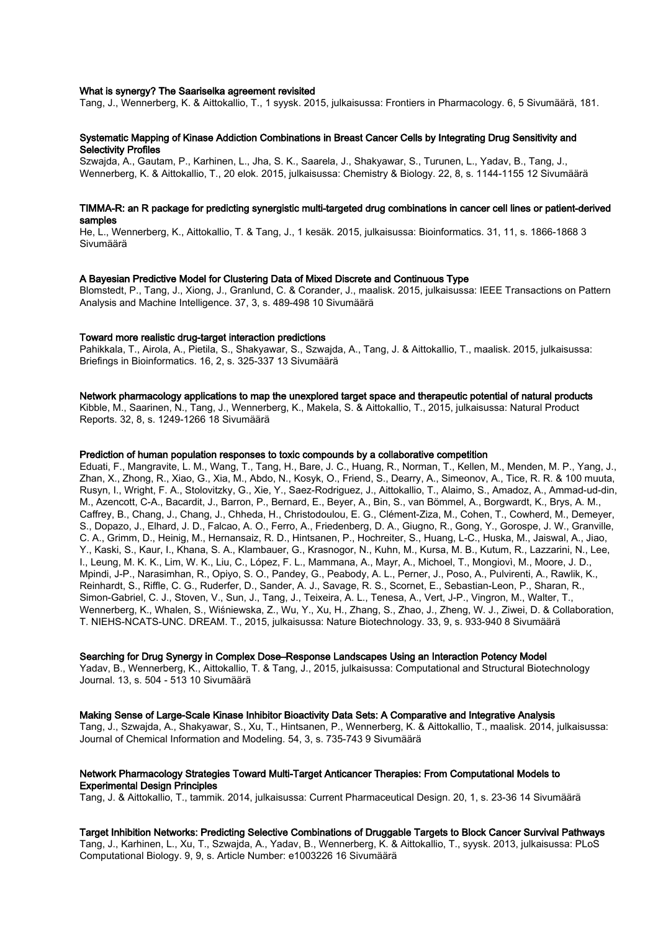#### What is synergy? The Saariselka agreement revisited

Tang, J., Wennerberg, K. & Aittokallio, T., 1 syysk. 2015, julkaisussa: Frontiers in Pharmacology. 6, 5 Sivumäärä, 181.

#### Systematic Mapping of Kinase Addiction Combinations in Breast Cancer Cells by Integrating Drug Sensitivity and Selectivity Profiles

Szwajda, A., Gautam, P., Karhinen, L., Jha, S. K., Saarela, J., Shakyawar, S., Turunen, L., Yadav, B., Tang, J., Wennerberg, K. & Aittokallio, T., 20 elok. 2015, julkaisussa: Chemistry & Biology. 22, 8, s. 1144-1155 12 Sivumäärä

## TIMMA-R: an R package for predicting synergistic multi-targeted drug combinations in cancer cell lines or patient-derived samples

He, L., Wennerberg, K., Aittokallio, T. & Tang, J., 1 kesäk. 2015, julkaisussa: Bioinformatics. 31, 11, s. 1866-1868 3 Sivumäärä

#### A Bayesian Predictive Model for Clustering Data of Mixed Discrete and Continuous Type

Blomstedt, P., Tang, J., Xiong, J., Granlund, C. & Corander, J., maalisk. 2015, julkaisussa: IEEE Transactions on Pattern Analysis and Machine Intelligence. 37, 3, s. 489-498 10 Sivumäärä

#### Toward more realistic drug-target interaction predictions

Pahikkala, T., Airola, A., Pietila, S., Shakyawar, S., Szwajda, A., Tang, J. & Aittokallio, T., maalisk. 2015, julkaisussa: Briefings in Bioinformatics. 16, 2, s. 325-337 13 Sivumäärä

#### Network pharmacology applications to map the unexplored target space and therapeutic potential of natural products

Kibble, M., Saarinen, N., Tang, J., Wennerberg, K., Makela, S. & Aittokallio, T., 2015, julkaisussa: Natural Product Reports. 32, 8, s. 1249-1266 18 Sivumäärä

## Prediction of human population responses to toxic compounds by a collaborative competition

Eduati, F., Mangravite, L. M., Wang, T., Tang, H., Bare, J. C., Huang, R., Norman, T., Kellen, M., Menden, M. P., Yang, J., Zhan, X., Zhong, R., Xiao, G., Xia, M., Abdo, N., Kosyk, O., Friend, S., Dearry, A., Simeonov, A., Tice, R. R. & 100 muuta, Rusyn, I., Wright, F. A., Stolovitzky, G., Xie, Y., Saez-Rodriguez, J., Aittokallio, T., Alaimo, S., Amadoz, A., Ammad-ud-din, M., Azencott, C-A., Bacardit, J., Barron, P., Bernard, E., Beyer, A., Bin, S., van Bömmel, A., Borgwardt, K., Brys, A. M., Caffrey, B., Chang, J., Chang, J., Chheda, H., Christodoulou, E. G., Clément-Ziza, M., Cohen, T., Cowherd, M., Demeyer, S., Dopazo, J., Elhard, J. D., Falcao, A. O., Ferro, A., Friedenberg, D. A., Giugno, R., Gong, Y., Gorospe, J. W., Granville, C. A., Grimm, D., Heinig, M., Hernansaiz, R. D., Hintsanen, P., Hochreiter, S., Huang, L-C., Huska, M., Jaiswal, A., Jiao, Y., Kaski, S., Kaur, I., Khana, S. A., Klambauer, G., Krasnogor, N., Kuhn, M., Kursa, M. B., Kutum, R., Lazzarini, N., Lee, I., Leung, M. K. K., Lim, W. K., Liu, C., López, F. L., Mammana, A., Mayr, A., Michoel, T., Mongiovì, M., Moore, J. D., Mpindi, J-P., Narasimhan, R., Opiyo, S. O., Pandey, G., Peabody, A. L., Perner, J., Poso, A., Pulvirenti, A., Rawlik, K., Reinhardt, S., Riffle, C. G., Ruderfer, D., Sander, A. J., Savage, R. S., Scornet, E., Sebastian-Leon, P., Sharan, R., Simon-Gabriel, C. J., Stoven, V., Sun, J., Tang, J., Teixeira, A. L., Tenesa, A., Vert, J-P., Vingron, M., Walter, T., Wennerberg, K., Whalen, S., Wiśniewska, Z., Wu, Y., Xu, H., Zhang, S., Zhao, J., Zheng, W. J., Ziwei, D. & Collaboration, T. NIEHS-NCATS-UNC. DREAM. T., 2015, julkaisussa: Nature Biotechnology. 33, 9, s. 933-940 8 Sivumäärä

#### Searching for Drug Synergy in Complex Dose–Response Landscapes Using an Interaction Potency Model

Yadav, B., Wennerberg, K., Aittokallio, T. & Tang, J., 2015, julkaisussa: Computational and Structural Biotechnology Journal. 13, s. 504 - 513 10 Sivumäärä

Making Sense of Large-Scale Kinase Inhibitor Bioactivity Data Sets: A Comparative and Integrative Analysis Tang, J., Szwajda, A., Shakyawar, S., Xu, T., Hintsanen, P., Wennerberg, K. & Aittokallio, T., maalisk. 2014, julkaisussa: Journal of Chemical Information and Modeling. 54, 3, s. 735-743 9 Sivumäärä

#### Network Pharmacology Strategies Toward Multi-Target Anticancer Therapies: From Computational Models to Experimental Design Principles

Tang, J. & Aittokallio, T., tammik. 2014, julkaisussa: Current Pharmaceutical Design. 20, 1, s. 23-36 14 Sivumäärä

Target Inhibition Networks: Predicting Selective Combinations of Druggable Targets to Block Cancer Survival Pathways Tang, J., Karhinen, L., Xu, T., Szwajda, A., Yadav, B., Wennerberg, K. & Aittokallio, T., syysk. 2013, julkaisussa: PLoS Computational Biology. 9, 9, s. Article Number: e1003226 16 Sivumäärä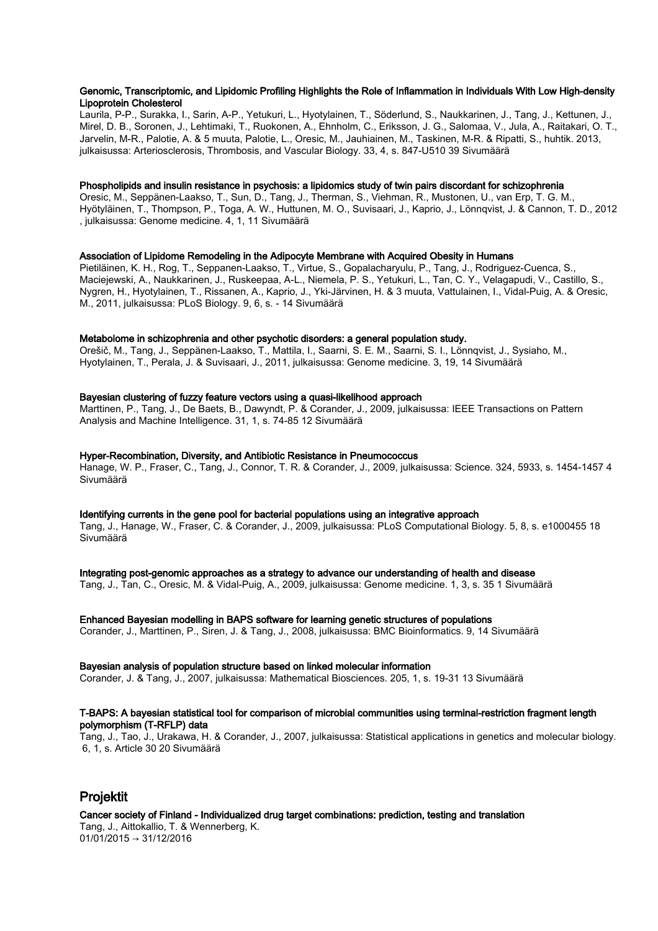#### Genomic, Transcriptomic, and Lipidomic Profiling Highlights the Role of Inflammation in Individuals With Low High-density Lipoprotein Cholesterol

Laurila, P-P., Surakka, I., Sarin, A-P., Yetukuri, L., Hyotylainen, T., Söderlund, S., Naukkarinen, J., Tang, J., Kettunen, J., Mirel, D. B., Soronen, J., Lehtimaki, T., Ruokonen, A., Ehnholm, C., Eriksson, J. G., Salomaa, V., Jula, A., Raitakari, O. T., Jarvelin, M-R., Palotie, A. & 5 muuta, Palotie, L., Oresic, M., Jauhiainen, M., Taskinen, M-R. & Ripatti, S., huhtik. 2013, julkaisussa: Arteriosclerosis, Thrombosis, and Vascular Biology. 33, 4, s. 847-U510 39 Sivumäärä

## Phospholipids and insulin resistance in psychosis: a lipidomics study of twin pairs discordant for schizophrenia

Oresic, M., Seppänen-Laakso, T., Sun, D., Tang, J., Therman, S., Viehman, R., Mustonen, U., van Erp, T. G. M., Hyötyläinen, T., Thompson, P., Toga, A. W., Huttunen, M. O., Suvisaari, J., Kaprio, J., Lönnqvist, J. & Cannon, T. D., 2012 , julkaisussa: Genome medicine. 4, 1, 11 Sivumäärä

## Association of Lipidome Remodeling in the Adipocyte Membrane with Acquired Obesity in Humans

Pietiläinen, K. H., Rog, T., Seppanen-Laakso, T., Virtue, S., Gopalacharyulu, P., Tang, J., Rodriguez-Cuenca, S., Maciejewski, A., Naukkarinen, J., Ruskeepaa, A-L., Niemela, P. S., Yetukuri, L., Tan, C. Y., Velagapudi, V., Castillo, S., Nygren, H., Hyotylainen, T., Rissanen, A., Kaprio, J., Yki-Järvinen, H. & 3 muuta, Vattulainen, I., Vidal-Puig, A. & Oresic, M., 2011, julkaisussa: PLoS Biology. 9, 6, s. - 14 Sivumäärä

#### Metabolome in schizophrenia and other psychotic disorders: a general population study.

Orešič, M., Tang, J., Seppänen-Laakso, T., Mattila, I., Saarni, S. E. M., Saarni, S. I., Lönnqvist, J., Sysiaho, M., Hyotylainen, T., Perala, J. & Suvisaari, J., 2011, julkaisussa: Genome medicine. 3, 19, 14 Sivumäärä

#### Bayesian clustering of fuzzy feature vectors using a quasi-likelihood approach

Marttinen, P., Tang, J., De Baets, B., Dawyndt, P. & Corander, J., 2009, julkaisussa: IEEE Transactions on Pattern Analysis and Machine Intelligence. 31, 1, s. 74-85 12 Sivumäärä

#### Hyper-Recombination, Diversity, and Antibiotic Resistance in Pneumococcus

Hanage, W. P., Fraser, C., Tang, J., Connor, T. R. & Corander, J., 2009, julkaisussa: Science. 324, 5933, s. 1454-1457 4 Sivumäärä

#### Identifying currents in the gene pool for bacterial populations using an integrative approach

Tang, J., Hanage, W., Fraser, C. & Corander, J., 2009, julkaisussa: PLoS Computational Biology. 5, 8, s. e1000455 18 Sivumäärä

Integrating post-genomic approaches as a strategy to advance our understanding of health and disease

Tang, J., Tan, C., Oresic, M. & Vidal-Puig, A., 2009, julkaisussa: Genome medicine. 1, 3, s. 35 1 Sivumäärä

## Enhanced Bayesian modelling in BAPS software for learning genetic structures of populations

Corander, J., Marttinen, P., Siren, J. & Tang, J., 2008, julkaisussa: BMC Bioinformatics. 9, 14 Sivumäärä

#### Bayesian analysis of population structure based on linked molecular information

Corander, J. & Tang, J., 2007, julkaisussa: Mathematical Biosciences. 205, 1, s. 19-31 13 Sivumäärä

## T-BAPS: A bayesian statistical tool for comparison of microbial communities using terminal-restriction fragment length polymorphism (T-RFLP) data

Tang, J., Tao, J., Urakawa, H. & Corander, J., 2007, julkaisussa: Statistical applications in genetics and molecular biology. 6, 1, s. Article 30 20 Sivumäärä

# Projektit

Cancer society of Finland - Individualized drug target combinations: prediction, testing and translation Tang, J., Aittokallio, T. & Wennerberg, K.  $01/01/2015 \rightarrow 31/12/2016$